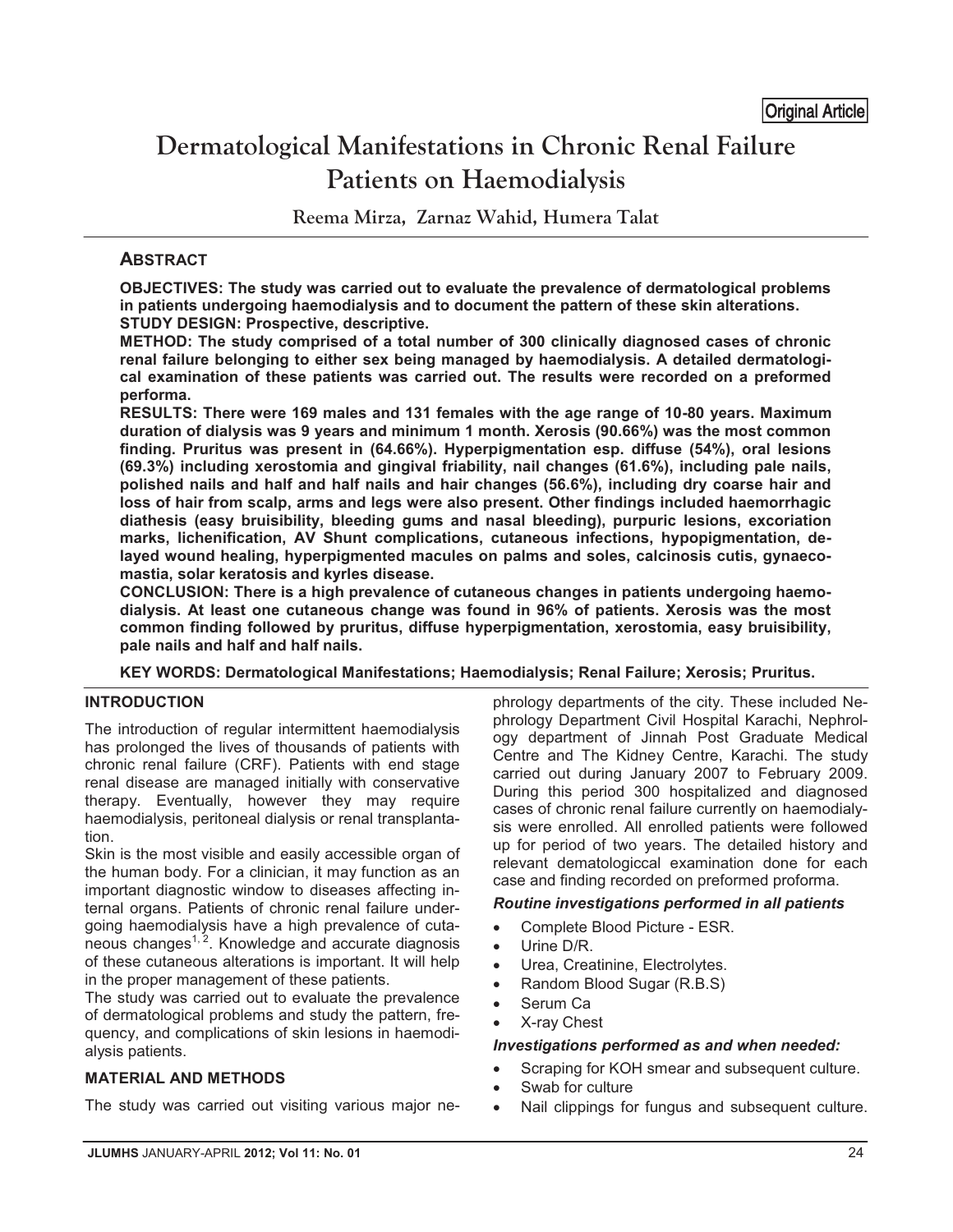# **Dermatological Manifestations in Chronic Renal Failure Patients on Haemodialysis**

**Reema Mirza, Zarnaz Wahid, Humera Talat**

## **ABSTRACT**

**OBJECTIVES: The study was carried out to evaluate the prevalence of dermatological problems in patients undergoing haemodialysis and to document the pattern of these skin alterations. STUDY DESIGN: Prospective, descriptive.** 

**METHOD: The study comprised of a total number of 300 clinically diagnosed cases of chronic renal failure belonging to either sex being managed by haemodialysis. A detailed dermatological examination of these patients was carried out. The results were recorded on a preformed performa.** 

**RESULTS: There were 169 males and 131 females with the age range of 10-80 years. Maximum duration of dialysis was 9 years and minimum 1 month. Xerosis (90.66%) was the most common finding. Pruritus was present in (64.66%). Hyperpigmentation esp. diffuse (54%), oral lesions (69.3%) including xerostomia and gingival friability, nail changes (61.6%), including pale nails, polished nails and half and half nails and hair changes (56.6%), including dry coarse hair and loss of hair from scalp, arms and legs were also present. Other findings included haemorrhagic diathesis (easy bruisibility, bleeding gums and nasal bleeding), purpuric lesions, excoriation marks, lichenification, AV Shunt complications, cutaneous infections, hypopigmentation, delayed wound healing, hyperpigmented macules on palms and soles, calcinosis cutis, gynaecomastia, solar keratosis and kyrles disease.** 

**CONCLUSION: There is a high prevalence of cutaneous changes in patients undergoing haemodialysis. At least one cutaneous change was found in 96% of patients. Xerosis was the most common finding followed by pruritus, diffuse hyperpigmentation, xerostomia, easy bruisibility, pale nails and half and half nails.** 

**KEY WORDS: Dermatological Manifestations; Haemodialysis; Renal Failure; Xerosis; Pruritus.** 

### **INTRODUCTION**

The introduction of regular intermittent haemodialysis has prolonged the lives of thousands of patients with chronic renal failure (CRF). Patients with end stage renal disease are managed initially with conservative therapy. Eventually, however they may require haemodialysis, peritoneal dialysis or renal transplantation.

Skin is the most visible and easily accessible organ of the human body. For a clinician, it may function as an important diagnostic window to diseases affecting internal organs. Patients of chronic renal failure undergoing haemodialysis have a high prevalence of cuta $n = 1, 2, 3, ...$  here  $n = 1, 2, ...$  here  $n = 1, 2, ...$ of these cutaneous alterations is important. It will help in the proper management of these patients.

The study was carried out to evaluate the prevalence of dermatological problems and study the pattern, frequency, and complications of skin lesions in haemodialysis patients.

## **MATERIAL AND METHODS**

The study was carried out visiting various major ne-

phrology departments of the city. These included Nephrology Department Civil Hospital Karachi, Nephrology department of Jinnah Post Graduate Medical Centre and The Kidney Centre, Karachi. The study carried out during January 2007 to February 2009. During this period 300 hospitalized and diagnosed cases of chronic renal failure currently on haemodialysis were enrolled. All enrolled patients were followed up for period of two years. The detailed history and relevant dematologiccal examination done for each case and finding recorded on preformed proforma.

### *Routine investigations performed in all patients*

- -Complete Blood Picture - ESR.
- $\bullet$ Urine D/R.
- -Urea, Creatinine, Electrolytes.
- -Random Blood Sugar (R.B.S)
- -Serum Ca
- -X-ray Chest

### *Investigations performed as and when needed:*

- -Scraping for KOH smear and subsequent culture.
- -Swab for culture
- -Nail clippings for fungus and subsequent culture.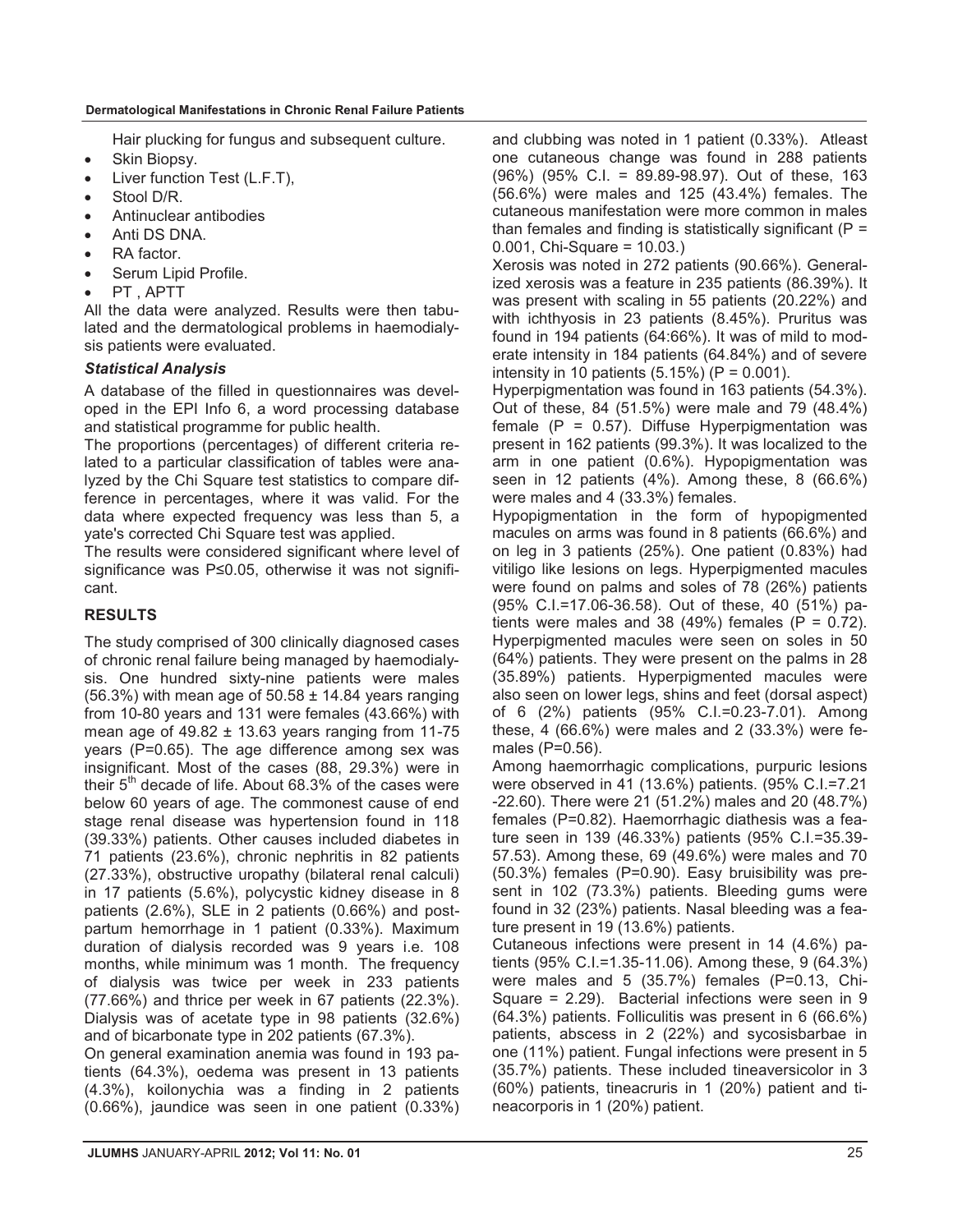Hair plucking for fungus and subsequent culture.

- $\bullet$ Skin Biopsy.
- -Liver function Test (L.F.T),
- $\bullet$ Stool D/R.
- $\bullet$ Antinuclear antibodies
- -Anti DS DNA.
- $\bullet$ RA factor.
- -Serum Lipid Profile.
- -PT , APTT

All the data were analyzed. Results were then tabulated and the dermatological problems in haemodialysis patients were evaluated.

#### *Statistical Analysis*

A database of the filled in questionnaires was developed in the EPI Info 6, a word processing database and statistical programme for public health.

The proportions (percentages) of different criteria related to a particular classification of tables were analyzed by the Chi Square test statistics to compare difference in percentages, where it was valid. For the data where expected frequency was less than 5, a yate's corrected Chi Square test was applied.

The results were considered significant where level of significance was P≤0.05, otherwise it was not significant.

### **RESULTS**

The study comprised of 300 clinically diagnosed cases of chronic renal failure being managed by haemodialysis. One hundred sixty-nine patients were males  $(56.3\%)$  with mean age of  $50.58 \pm 14.84$  years ranging from 10-80 years and 131 were females (43.66%) with mean age of  $49.82 \pm 13.63$  years ranging from 11-75 years (P=0.65). The age difference among sex was insignificant. Most of the cases (88, 29.3%) were in their  $5<sup>th</sup>$  decade of life. About 68.3% of the cases were below 60 years of age. The commonest cause of end stage renal disease was hypertension found in 118 (39.33%) patients. Other causes included diabetes in 71 patients (23.6%), chronic nephritis in 82 patients (27.33%), obstructive uropathy (bilateral renal calculi) in 17 patients (5.6%), polycystic kidney disease in 8 patients (2.6%), SLE in 2 patients (0.66%) and postpartum hemorrhage in 1 patient (0.33%). Maximum duration of dialysis recorded was 9 years i.e. 108 months, while minimum was 1 month. The frequency of dialysis was twice per week in 233 patients (77.66%) and thrice per week in 67 patients (22.3%). Dialysis was of acetate type in 98 patients (32.6%) and of bicarbonate type in 202 patients (67.3%).

On general examination anemia was found in 193 patients (64.3%), oedema was present in 13 patients (4.3%), koilonychia was a finding in 2 patients (0.66%), jaundice was seen in one patient (0.33%) and clubbing was noted in 1 patient (0.33%). Atleast one cutaneous change was found in 288 patients (96%) (95% C.I. = 89.89-98.97). Out of these, 163 (56.6%) were males and 125 (43.4%) females. The cutaneous manifestation were more common in males than females and finding is statistically significant ( $P =$ 0.001, Chi-Square = 10.03.)

Xerosis was noted in 272 patients (90.66%). Generalized xerosis was a feature in 235 patients (86.39%). It was present with scaling in 55 patients (20.22%) and with ichthyosis in 23 patients (8.45%). Pruritus was found in 194 patients (64:66%). It was of mild to moderate intensity in 184 patients (64.84%) and of severe intensity in 10 patients  $(5.15%) (P = 0.001)$ .

Hyperpigmentation was found in 163 patients (54.3%). Out of these, 84 (51.5%) were male and 79 (48.4%) female ( $P = 0.57$ ). Diffuse Hyperpigmentation was present in 162 patients (99.3%). It was localized to the arm in one patient (0.6%). Hypopigmentation was seen in 12 patients (4%). Among these, 8 (66.6%) were males and 4 (33.3%) females.

Hypopigmentation in the form of hypopigmented macules on arms was found in 8 patients (66.6%) and on leg in 3 patients (25%). One patient (0.83%) had vitiligo like lesions on legs. Hyperpigmented macules were found on palms and soles of 78 (26%) patients (95% C.I.=17.06-36.58). Out of these, 40 (51%) patients were males and 38 (49%) females ( $P = 0.72$ ). Hyperpigmented macules were seen on soles in 50 (64%) patients. They were present on the palms in 28 (35.89%) patients. Hyperpigmented macules were also seen on lower legs, shins and feet (dorsal aspect) of 6 (2%) patients (95% C.I.=0.23-7.01). Among these, 4 (66.6%) were males and 2 (33.3%) were females (P=0.56).

Among haemorrhagic complications, purpuric lesions were observed in 41 (13.6%) patients. (95% C.I.=7.21 -22.60). There were 21 (51.2%) males and 20 (48.7%) females (P=0.82). Haemorrhagic diathesis was a feature seen in 139 (46.33%) patients (95% C.I.=35.39- 57.53). Among these, 69 (49.6%) were males and 70 (50.3%) females (P=0.90). Easy bruisibility was present in 102 (73.3%) patients. Bleeding gums were found in 32 (23%) patients. Nasal bleeding was a feature present in 19 (13.6%) patients.

Cutaneous infections were present in 14 (4.6%) patients (95% C.I.=1.35-11.06). Among these, 9 (64.3%) were males and 5 (35.7%) females (P=0.13, Chi-Square = 2.29). Bacterial infections were seen in 9 (64.3%) patients. Folliculitis was present in 6 (66.6%) patients, abscess in 2 (22%) and sycosisbarbae in one (11%) patient. Fungal infections were present in 5 (35.7%) patients. These included tineaversicolor in 3 (60%) patients, tineacruris in 1 (20%) patient and tineacorporis in 1 (20%) patient.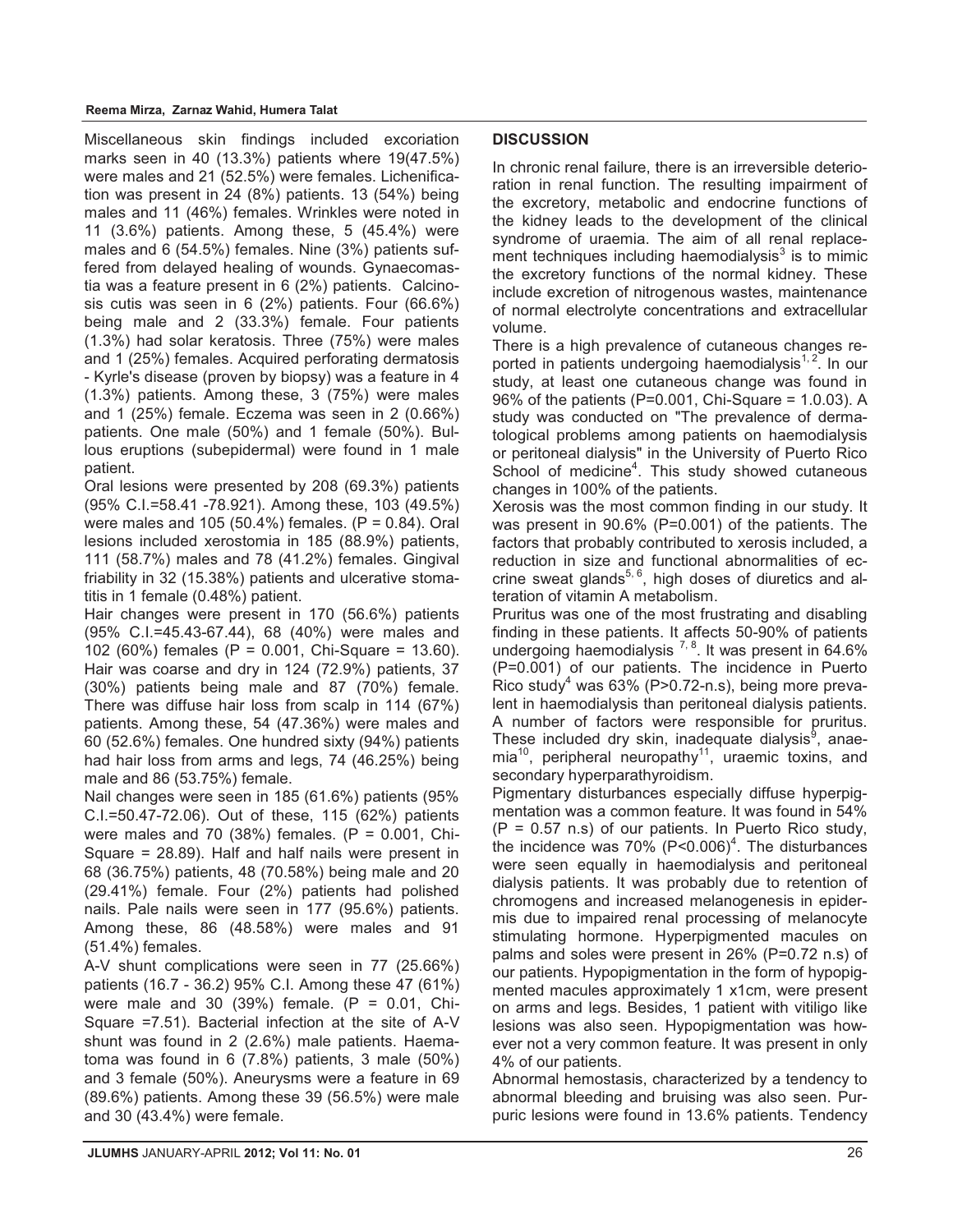#### **Reema Mirza, Zarnaz Wahid, Humera Talat**

Miscellaneous skin findings included excoriation marks seen in 40 (13.3%) patients where 19(47.5%) were males and 21 (52.5%) were females. Lichenification was present in 24 (8%) patients. 13 (54%) being males and 11 (46%) females. Wrinkles were noted in 11 (3.6%) patients. Among these, 5 (45.4%) were males and 6 (54.5%) females. Nine (3%) patients suffered from delayed healing of wounds. Gynaecomastia was a feature present in 6 (2%) patients. Calcinosis cutis was seen in 6 (2%) patients. Four (66.6%) being male and 2 (33.3%) female. Four patients (1.3%) had solar keratosis. Three (75%) were males and 1 (25%) females. Acquired perforating dermatosis - Kyrle's disease (proven by biopsy) was a feature in 4 (1.3%) patients. Among these, 3 (75%) were males and 1 (25%) female. Eczema was seen in 2 (0.66%) patients. One male (50%) and 1 female (50%). Bullous eruptions (subepidermal) were found in 1 male patient.

Oral lesions were presented by 208 (69.3%) patients (95% C.I.=58.41 -78.921). Among these, 103 (49.5%) were males and 105 (50.4%) females.  $(P = 0.84)$ . Oral lesions included xerostomia in 185 (88.9%) patients, 111 (58.7%) males and 78 (41.2%) females. Gingival friability in 32 (15.38%) patients and ulcerative stomatitis in 1 female (0.48%) patient.

Hair changes were present in 170 (56.6%) patients (95% C.I.=45.43-67.44), 68 (40%) were males and 102 (60%) females (P = 0.001, Chi-Square = 13.60). Hair was coarse and dry in 124 (72.9%) patients, 37 (30%) patients being male and 87 (70%) female. There was diffuse hair loss from scalp in 114 (67%) patients. Among these, 54 (47.36%) were males and 60 (52.6%) females. One hundred sixty (94%) patients had hair loss from arms and legs, 74 (46.25%) being male and 86 (53.75%) female.

Nail changes were seen in 185 (61.6%) patients (95% C.I.=50.47-72.06). Out of these, 115 (62%) patients were males and 70 (38%) females.  $(P = 0.001, Chi-$ Square = 28.89). Half and half nails were present in 68 (36.75%) patients, 48 (70.58%) being male and 20 (29.41%) female. Four (2%) patients had polished nails. Pale nails were seen in 177 (95.6%) patients. Among these, 86 (48.58%) were males and 91 (51.4%) females.

A-V shunt complications were seen in 77 (25.66%) patients (16.7 - 36.2) 95% C.I. Among these 47 (61%) were male and 30 (39%) female.  $(P = 0.01, Chi-$ Square =7.51). Bacterial infection at the site of A-V shunt was found in 2 (2.6%) male patients. Haematoma was found in 6 (7.8%) patients, 3 male (50%) and 3 female (50%). Aneurysms were a feature in 69 (89.6%) patients. Among these 39 (56.5%) were male and 30 (43.4%) were female.

#### **DISCUSSION**

In chronic renal failure, there is an irreversible deterioration in renal function. The resulting impairment of the excretory, metabolic and endocrine functions of the kidney leads to the development of the clinical syndrome of uraemia. The aim of all renal replacement techniques including haemodialysis $3$  is to mimic the excretory functions of the normal kidney. These include excretion of nitrogenous wastes, maintenance of normal electrolyte concentrations and extracellular volume.

There is a high prevalence of cutaneous changes reported in patients undergoing haemodialysis<sup>1,2</sup>. In our study, at least one cutaneous change was found in 96% of the patients (P=0.001, Chi-Square = 1.0.03). A study was conducted on "The prevalence of dermatological problems among patients on haemodialysis or peritoneal dialysis" in the University of Puerto Rico School of medicine<sup>4</sup>. This study showed cutaneous changes in 100% of the patients.

Xerosis was the most common finding in our study. It was present in 90.6% (P=0.001) of the patients. The factors that probably contributed to xerosis included, a reduction in size and functional abnormalities of eccrine sweat glands<sup>5, 6</sup>, high doses of diuretics and alteration of vitamin A metabolism.

Pruritus was one of the most frustrating and disabling finding in these patients. It affects 50-90% of patients undergoing haemodialysis  $7, 8$ . It was present in 64.6% (P=0.001) of our patients. The incidence in Puerto Rico study<sup>4</sup> was 63% (P>0.72-n.s), being more prevalent in haemodialysis than peritoneal dialysis patients. A number of factors were responsible for pruritus. These included dry skin, inadequate dialysis<sup>9</sup>, anae $mia<sup>10</sup>$ , peripheral neuropathy<sup>11</sup>, uraemic toxins, and secondary hyperparathyroidism.

Pigmentary disturbances especially diffuse hyperpigmentation was a common feature. It was found in 54%  $(P = 0.57 \text{ n.s})$  of our patients. In Puerto Rico study, the incidence was 70%  $(P< 0.006)^4$ . The disturbances were seen equally in haemodialysis and peritoneal dialysis patients. It was probably due to retention of chromogens and increased melanogenesis in epidermis due to impaired renal processing of melanocyte stimulating hormone. Hyperpigmented macules on palms and soles were present in 26% (P=0.72 n.s) of our patients. Hypopigmentation in the form of hypopigmented macules approximately 1 x1cm, were present on arms and legs. Besides, 1 patient with vitiligo like lesions was also seen. Hypopigmentation was however not a very common feature. It was present in only 4% of our patients.

Abnormal hemostasis, characterized by a tendency to abnormal bleeding and bruising was also seen. Purpuric lesions were found in 13.6% patients. Tendency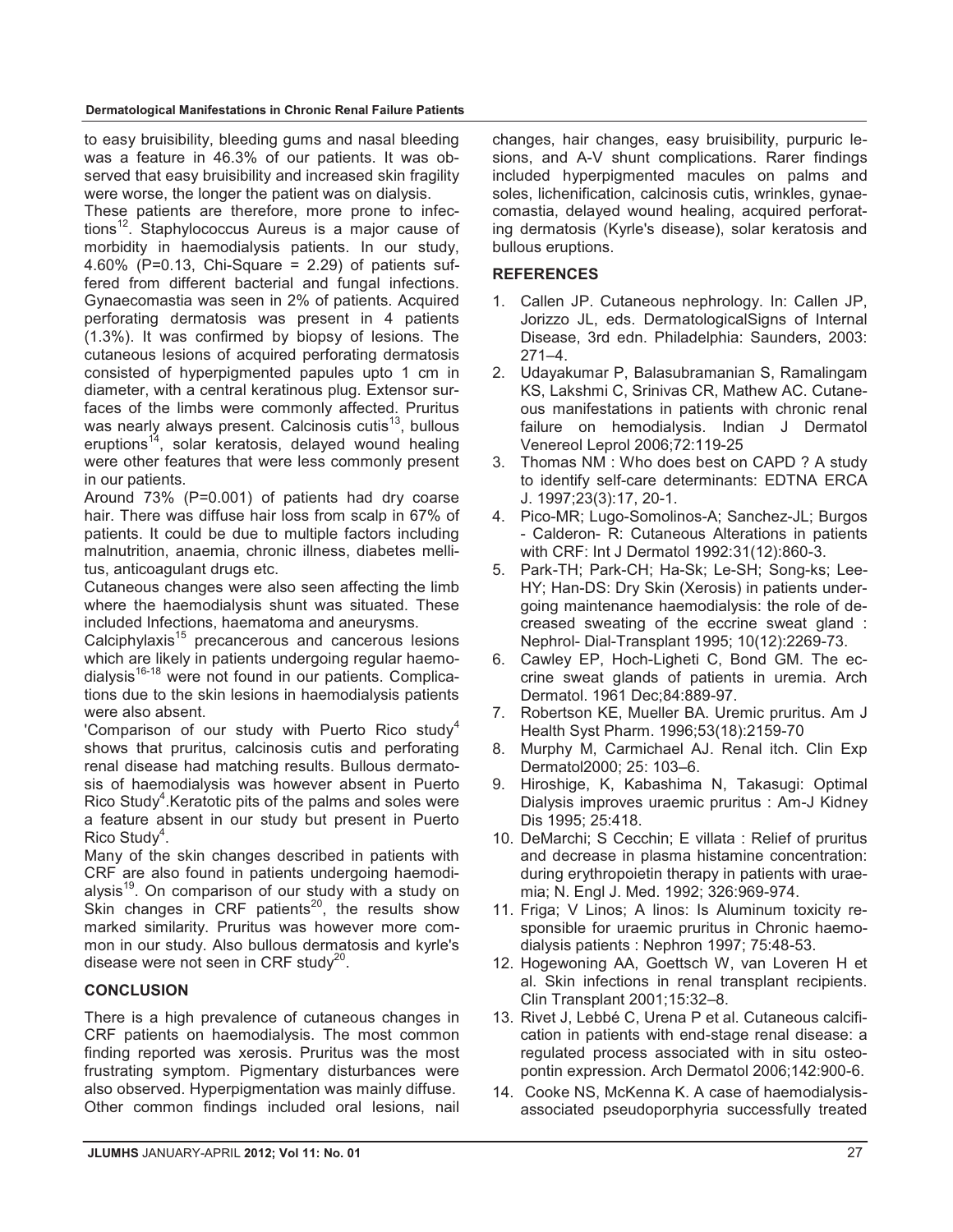to easy bruisibility, bleeding gums and nasal bleeding was a feature in 46.3% of our patients. It was observed that easy bruisibility and increased skin fragility were worse, the longer the patient was on dialysis.

These patients are therefore, more prone to infections<sup>12</sup>. Staphylococcus Aureus is a major cause of morbidity in haemodialysis patients. In our study, 4.60% (P=0.13, Chi-Square = 2.29) of patients suffered from different bacterial and fungal infections. Gynaecomastia was seen in 2% of patients. Acquired perforating dermatosis was present in 4 patients (1.3%). It was confirmed by biopsy of lesions. The cutaneous lesions of acquired perforating dermatosis consisted of hyperpigmented papules upto 1 cm in diameter, with a central keratinous plug. Extensor surfaces of the limbs were commonly affected. Pruritus was nearly always present. Calcinosis cutis $^{13}$ , bullous eruptions<sup>14</sup>, solar keratosis, delayed wound healing were other features that were less commonly present in our patients.

Around 73% (P=0.001) of patients had dry coarse hair. There was diffuse hair loss from scalp in 67% of patients. It could be due to multiple factors including malnutrition, anaemia, chronic illness, diabetes mellitus, anticoagulant drugs etc.

Cutaneous changes were also seen affecting the limb where the haemodialysis shunt was situated. These included Infections, haematoma and aneurysms.

Calciphylaxis<sup>15</sup> precancerous and cancerous lesions which are likely in patients undergoing regular haemodialysis<sup>16-18</sup> were not found in our patients. Complications due to the skin lesions in haemodialysis patients were also absent.

'Comparison of our study with Puerto Rico study $4$ shows that pruritus, calcinosis cutis and perforating renal disease had matching results. Bullous dermatosis of haemodialysis was however absent in Puerto Rico Study<sup>4</sup>. Keratotic pits of the palms and soles were a feature absent in our study but present in Puerto Rico Study<sup>4</sup>.

Many of the skin changes described in patients with CRF are also found in patients undergoing haemodialysis<sup>19</sup>. On comparison of our study with a study on Skin changes in CRF patients<sup>20</sup>, the results show marked similarity. Pruritus was however more common in our study. Also bullous dermatosis and kyrle's disease were not seen in CRF study<sup>20</sup>.

### **CONCLUSION**

There is a high prevalence of cutaneous changes in CRF patients on haemodialysis. The most common finding reported was xerosis. Pruritus was the most frustrating symptom. Pigmentary disturbances were also observed. Hyperpigmentation was mainly diffuse. Other common findings included oral lesions, nail changes, hair changes, easy bruisibility, purpuric lesions, and A-V shunt complications. Rarer findings included hyperpigmented macules on palms and soles, lichenification, calcinosis cutis, wrinkles, gynaecomastia, delayed wound healing, acquired perforating dermatosis (Kyrle's disease), solar keratosis and bullous eruptions.

#### **REFERENCES**

- 1. Callen JP. Cutaneous nephrology. In: Callen JP, Jorizzo JL, eds. DermatologicalSigns of Internal Disease, 3rd edn. Philadelphia: Saunders, 2003:  $271 - 4$ .
- 2. Udayakumar P, Balasubramanian S, Ramalingam KS, Lakshmi C, Srinivas CR, Mathew AC. Cutaneous manifestations in patients with chronic renal failure on hemodialysis. Indian J Dermatol Venereol Leprol 2006;72:119-25
- 3. Thomas NM : Who does best on CAPD ? A study to identify self-care determinants: EDTNA ERCA J. 1997;23(3):17, 20-1.
- 4. Pico-MR; Lugo-Somolinos-A; Sanchez-JL; Burgos - Calderon- R: Cutaneous Alterations in patients with CRF: Int J Dermatol 1992:31(12):860-3.
- 5. Park-TH; Park-CH; Ha-Sk; Le-SH; Song-ks; Lee-HY; Han-DS: Dry Skin (Xerosis) in patients undergoing maintenance haemodialysis: the role of decreased sweating of the eccrine sweat gland : Nephrol- Dial-Transplant 1995; 10(12):2269-73.
- 6. Cawley EP, Hoch-Ligheti C, Bond GM. The eccrine sweat glands of patients in uremia. Arch Dermatol. 1961 Dec;84:889-97.
- 7. Robertson KE, Mueller BA. Uremic pruritus. Am J Health Syst Pharm. 1996;53(18):2159-70
- 8. Murphy M, Carmichael AJ. Renal itch. Clin Exp Dermatol2000; 25: 103–6.
- 9. Hiroshige, K, Kabashima N, Takasugi: Optimal Dialysis improves uraemic pruritus : Am-J Kidney Dis 1995; 25:418.
- 10. DeMarchi; S Cecchin; E villata : Relief of pruritus and decrease in plasma histamine concentration: during erythropoietin therapy in patients with uraemia; N. Engl J. Med. 1992; 326:969-974.
- 11. Friga; V Linos; A linos: Is Aluminum toxicity responsible for uraemic pruritus in Chronic haemodialysis patients : Nephron 1997; 75:48-53.
- 12. Hogewoning AA, Goettsch W, van Loveren H et al. Skin infections in renal transplant recipients. Clin Transplant 2001;15:32–8.
- 13. Rivet J, Lebbé C, Urena P et al. Cutaneous calcification in patients with end-stage renal disease: a regulated process associated with in situ osteopontin expression. Arch Dermatol 2006;142:900-6.
- 14. Cooke NS, McKenna K. A case of haemodialysisassociated pseudoporphyria successfully treated